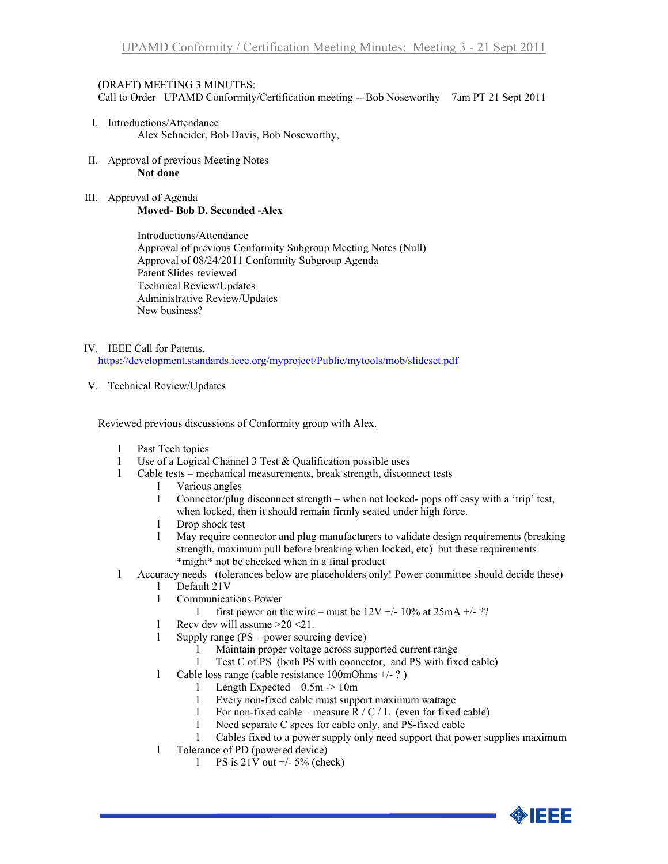## (DRAFT) MEETING 3 MINUTES:

Call to Order UPAMD Conformity/Certification meeting -- Bob Noseworthy 7am PT 21 Sept 2011

- I. Introductions/Attendance Alex Schneider, Bob Davis, Bob Noseworthy,
- II. Approval of previous Meeting Notes **Not done**
- III. Approval of Agenda **Moved- Bob D. Seconded -Alex**

Introductions/Attendance Approval of previous Conformity Subgroup Meeting Notes (Null) Approval of 08/24/2011 Conformity Subgroup Agenda Patent Slides reviewed Technical Review/Updates Administrative Review/Updates New business?

IV. IEEE Call for Patents.

<https://development.standards.ieee.org/myproject/Public/mytools/mob/slideset.pdf>

V. Technical Review/Updates

Reviewed previous discussions of Conformity group with Alex.

- l Past Tech topics
- l Use of a Logical Channel 3 Test & Qualification possible uses
- l Cable tests mechanical measurements, break strength, disconnect tests
	- l Various angles
	- l Connector/plug disconnect strength when not locked- pops off easy with a 'trip' test, when locked, then it should remain firmly seated under high force.
	- l Drop shock test
	- l May require connector and plug manufacturers to validate design requirements (breaking strength, maximum pull before breaking when locked, etc) but these requirements \*might\* not be checked when in a final product
- l Accuracy needs (tolerances below are placeholders only! Power committee should decide these)
	- l Default 21V
	- l Communications Power
		- l first power on the wire must be  $12V +10\%$  at  $25mA +12$ ?
	- l Recv dev will assume >20 <21.
	- l Supply range (PS power sourcing device)
		- l Maintain proper voltage across supported current range
		- l Test C of PS (both PS with connector, and PS with fixed cable)
	- l Cable loss range (cable resistance 100mOhms +/- ? )
		- l Length Expected 0.5m -> 10m
		- l Every non-fixed cable must support maximum wattage
		- 1 For non-fixed cable measure  $R / C / L$  (even for fixed cable)
		- l Need separate C specs for cable only, and PS-fixed cable
		- l Cables fixed to a power supply only need support that power supplies maximum
	- l Tolerance of PD (powered device)
		- 1 PS is  $21\overline{V}$  out  $\overline{+/-}$  5% (check)